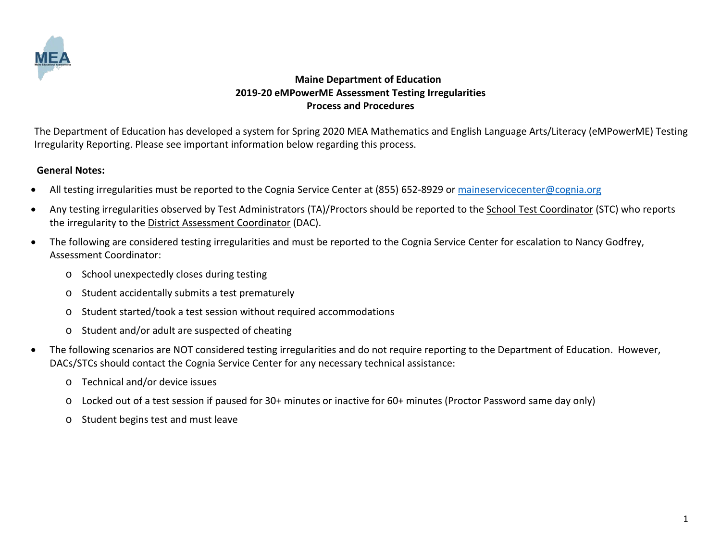

The Department of Education has developed a system for Spring 2020 MEA Mathematics and English Language Arts/Literacy (eMPowerME) Testing Irregularity Reporting. Please see important information below regarding this process.

#### **General Notes:**

- All testing irregularities must be reported to the Cognia Service Center at (855) 652-8929 or [maineservicecenter@cognia.org](mailto:maineservicecenter@cognia.org)
- Any testing irregularities observed by Test Administrators (TA)/Proctors should be reported to the School Test Coordinator (STC) who reports the irregularity to the District Assessment Coordinator (DAC).
- The following are considered testing irregularities and must be reported to the Cognia Service Center for escalation to Nancy Godfrey, Assessment Coordinator:
	- o School unexpectedly closes during testing
	- o Student accidentally submits a test prematurely
	- o Student started/took a test session without required accommodations
	- o Student and/or adult are suspected of cheating
- The following scenarios are NOT considered testing irregularities and do not require reporting to the Department of Education. However, DACs/STCs should contact the Cognia Service Center for any necessary technical assistance:
	- o Technical and/or device issues
	- o Locked out of a test session if paused for 30+ minutes or inactive for 60+ minutes (Proctor Password same day only)
	- o Student begins test and must leave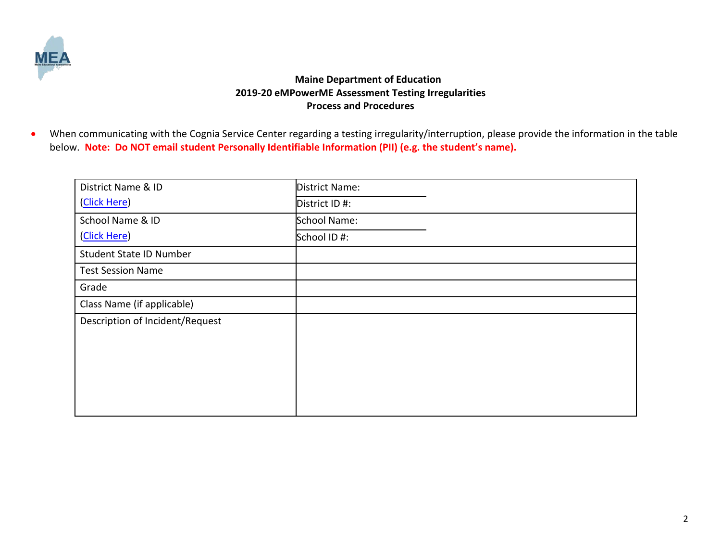

• When communicating with the Cognia Service Center regarding a testing irregularity/interruption, please provide the information in the table below. **Note: Do NOT email student Personally Identifiable Information (PII) (e.g. the student's name).** 

| District Name & ID              | District Name: |
|---------------------------------|----------------|
| (Click Here)                    | District ID #: |
| School Name & ID                | School Name:   |
| (Click Here)                    | School ID #:   |
| Student State ID Number         |                |
| <b>Test Session Name</b>        |                |
| Grade                           |                |
| Class Name (if applicable)      |                |
| Description of Incident/Request |                |
|                                 |                |
|                                 |                |
|                                 |                |
|                                 |                |
|                                 |                |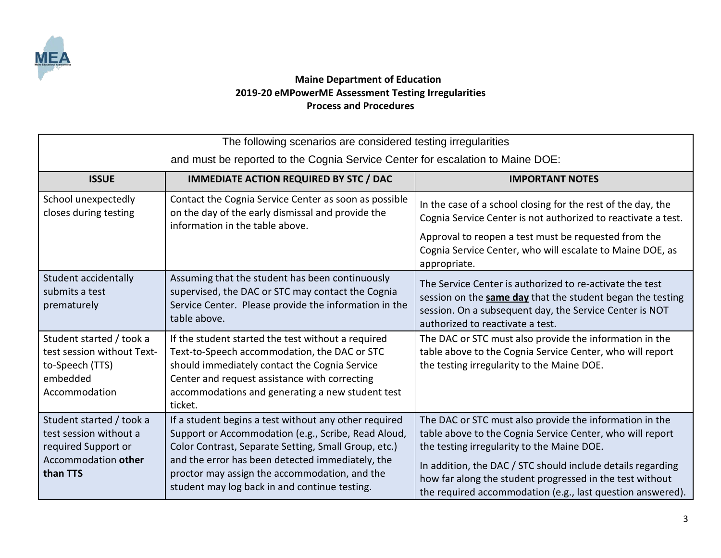

| The following scenarios are considered testing irregularities                                                |                                                                                                                                                                                                                                                                                                                            |                                                                                                                                                                                                                                                                                                                                                             |  |  |
|--------------------------------------------------------------------------------------------------------------|----------------------------------------------------------------------------------------------------------------------------------------------------------------------------------------------------------------------------------------------------------------------------------------------------------------------------|-------------------------------------------------------------------------------------------------------------------------------------------------------------------------------------------------------------------------------------------------------------------------------------------------------------------------------------------------------------|--|--|
| and must be reported to the Cognia Service Center for escalation to Maine DOE:                               |                                                                                                                                                                                                                                                                                                                            |                                                                                                                                                                                                                                                                                                                                                             |  |  |
| <b>ISSUE</b>                                                                                                 | <b>IMMEDIATE ACTION REQUIRED BY STC / DAC</b>                                                                                                                                                                                                                                                                              | <b>IMPORTANT NOTES</b>                                                                                                                                                                                                                                                                                                                                      |  |  |
| School unexpectedly<br>closes during testing                                                                 | Contact the Cognia Service Center as soon as possible<br>on the day of the early dismissal and provide the<br>information in the table above.                                                                                                                                                                              | In the case of a school closing for the rest of the day, the<br>Cognia Service Center is not authorized to reactivate a test.<br>Approval to reopen a test must be requested from the<br>Cognia Service Center, who will escalate to Maine DOE, as<br>appropriate.                                                                                          |  |  |
| Student accidentally<br>submits a test<br>prematurely                                                        | Assuming that the student has been continuously<br>supervised, the DAC or STC may contact the Cognia<br>Service Center. Please provide the information in the<br>table above.                                                                                                                                              | The Service Center is authorized to re-activate the test<br>session on the <b>same day</b> that the student began the testing<br>session. On a subsequent day, the Service Center is NOT<br>authorized to reactivate a test.                                                                                                                                |  |  |
| Student started / took a<br>test session without Text-<br>to-Speech (TTS)<br>embedded<br>Accommodation       | If the student started the test without a required<br>Text-to-Speech accommodation, the DAC or STC<br>should immediately contact the Cognia Service<br>Center and request assistance with correcting<br>accommodations and generating a new student test<br>ticket.                                                        | The DAC or STC must also provide the information in the<br>table above to the Cognia Service Center, who will report<br>the testing irregularity to the Maine DOE.                                                                                                                                                                                          |  |  |
| Student started / took a<br>test session without a<br>required Support or<br>Accommodation other<br>than TTS | If a student begins a test without any other required<br>Support or Accommodation (e.g., Scribe, Read Aloud,<br>Color Contrast, Separate Setting, Small Group, etc.)<br>and the error has been detected immediately, the<br>proctor may assign the accommodation, and the<br>student may log back in and continue testing. | The DAC or STC must also provide the information in the<br>table above to the Cognia Service Center, who will report<br>the testing irregularity to the Maine DOE.<br>In addition, the DAC / STC should include details regarding<br>how far along the student progressed in the test without<br>the required accommodation (e.g., last question answered). |  |  |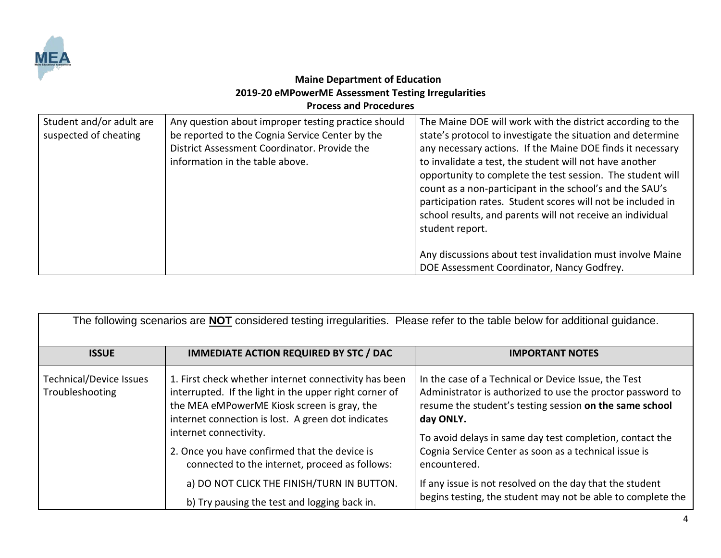

| Student and/or adult are<br>suspected of cheating | Any question about improper testing practice should<br>be reported to the Cognia Service Center by the<br>District Assessment Coordinator. Provide the<br>information in the table above. | The Maine DOE will work with the district according to the<br>state's protocol to investigate the situation and determine<br>any necessary actions. If the Maine DOE finds it necessary<br>to invalidate a test, the student will not have another<br>opportunity to complete the test session. The student will<br>count as a non-participant in the school's and the SAU's<br>participation rates. Student scores will not be included in<br>school results, and parents will not receive an individual<br>student report. |
|---------------------------------------------------|-------------------------------------------------------------------------------------------------------------------------------------------------------------------------------------------|------------------------------------------------------------------------------------------------------------------------------------------------------------------------------------------------------------------------------------------------------------------------------------------------------------------------------------------------------------------------------------------------------------------------------------------------------------------------------------------------------------------------------|
|                                                   |                                                                                                                                                                                           | Any discussions about test invalidation must involve Maine<br>DOE Assessment Coordinator, Nancy Godfrey.                                                                                                                                                                                                                                                                                                                                                                                                                     |

| The following scenarios are <b>NOT</b> considered testing irregularities. Please refer to the table below for additional guidance. |                                                                                                                                                                                                                                                                                                                                                   |                                                                                                                                                                                                                                                                                                                                 |  |  |
|------------------------------------------------------------------------------------------------------------------------------------|---------------------------------------------------------------------------------------------------------------------------------------------------------------------------------------------------------------------------------------------------------------------------------------------------------------------------------------------------|---------------------------------------------------------------------------------------------------------------------------------------------------------------------------------------------------------------------------------------------------------------------------------------------------------------------------------|--|--|
| <b>ISSUE</b>                                                                                                                       | <b>IMMEDIATE ACTION REQUIRED BY STC / DAC</b>                                                                                                                                                                                                                                                                                                     | <b>IMPORTANT NOTES</b>                                                                                                                                                                                                                                                                                                          |  |  |
| Technical/Device Issues<br>Troubleshooting                                                                                         | 1. First check whether internet connectivity has been<br>interrupted. If the light in the upper right corner of<br>the MEA eMPowerME Kiosk screen is gray, the<br>internet connection is lost. A green dot indicates<br>internet connectivity.<br>2. Once you have confirmed that the device is<br>connected to the internet, proceed as follows: | In the case of a Technical or Device Issue, the Test<br>Administrator is authorized to use the proctor password to<br>resume the student's testing session on the same school<br>day ONLY.<br>To avoid delays in same day test completion, contact the<br>Cognia Service Center as soon as a technical issue is<br>encountered. |  |  |
|                                                                                                                                    | a) DO NOT CLICK THE FINISH/TURN IN BUTTON.<br>b) Try pausing the test and logging back in.                                                                                                                                                                                                                                                        | If any issue is not resolved on the day that the student<br>begins testing, the student may not be able to complete the                                                                                                                                                                                                         |  |  |